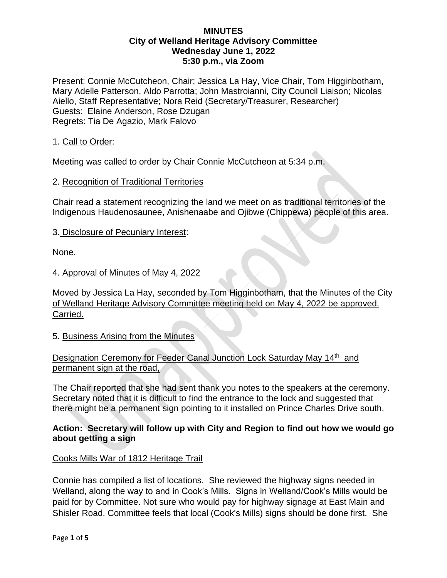Present: Connie McCutcheon, Chair; Jessica La Hay, Vice Chair, Tom Higginbotham, Mary Adelle Patterson, Aldo Parrotta; John Mastroianni, City Council Liaison; Nicolas Aiello, Staff Representative; Nora Reid (Secretary/Treasurer, Researcher) Guests: Elaine Anderson, Rose Dzugan Regrets: Tia De Agazio, Mark Falovo

### 1. Call to Order:

Meeting was called to order by Chair Connie McCutcheon at 5:34 p.m.

### 2. Recognition of Traditional Territories

Chair read a statement recognizing the land we meet on as traditional territories of the Indigenous Haudenosaunee, Anishenaabe and Ojibwe (Chippewa) people of this area.

#### 3. Disclosure of Pecuniary Interest:

None.

### 4. Approval of Minutes of May 4, 2022

Moved by Jessica La Hay, seconded by Tom Higginbotham, that the Minutes of the City of Welland Heritage Advisory Committee meeting held on May 4, 2022 be approved. Carried.

#### 5. Business Arising from the Minutes

## Designation Ceremony for Feeder Canal Junction Lock Saturday May 14th and permanent sign at the road,

The Chair reported that she had sent thank you notes to the speakers at the ceremony. Secretary noted that it is difficult to find the entrance to the lock and suggested that there might be a permanent sign pointing to it installed on Prince Charles Drive south.

## **Action: Secretary will follow up with City and Region to find out how we would go about getting a sign**

#### Cooks Mills War of 1812 Heritage Trail

Connie has compiled a list of locations. She reviewed the highway signs needed in Welland, along the way to and in Cook's Mills. Signs in Welland/Cook's Mills would be paid for by Committee. Not sure who would pay for highway signage at East Main and Shisler Road. Committee feels that local (Cook's Mills) signs should be done first. She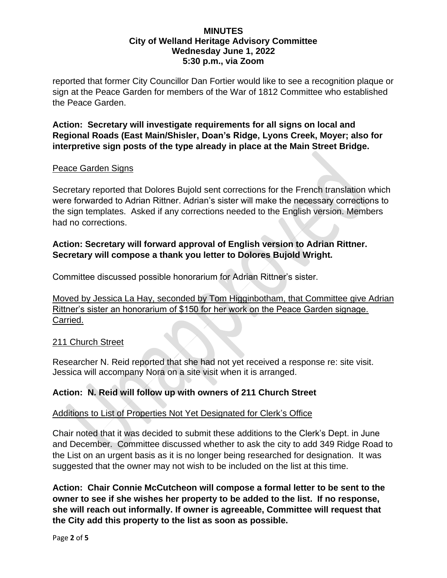reported that former City Councillor Dan Fortier would like to see a recognition plaque or sign at the Peace Garden for members of the War of 1812 Committee who established the Peace Garden.

**Action: Secretary will investigate requirements for all signs on local and Regional Roads (East Main/Shisler, Doan's Ridge, Lyons Creek, Moyer; also for interpretive sign posts of the type already in place at the Main Street Bridge.**

## Peace Garden Signs

Secretary reported that Dolores Bujold sent corrections for the French translation which were forwarded to Adrian Rittner. Adrian's sister will make the necessary corrections to the sign templates. Asked if any corrections needed to the English version. Members had no corrections.

## **Action: Secretary will forward approval of English version to Adrian Rittner. Secretary will compose a thank you letter to Dolores Bujold Wright.**

Committee discussed possible honorarium for Adrian Rittner's sister.

Moved by Jessica La Hay, seconded by Tom Higginbotham, that Committee give Adrian Rittner's sister an honorarium of \$150 for her work on the Peace Garden signage. Carried.

## 211 Church Street

Researcher N. Reid reported that she had not yet received a response re: site visit. Jessica will accompany Nora on a site visit when it is arranged.

# **Action: N. Reid will follow up with owners of 211 Church Street**

## Additions to List of Properties Not Yet Designated for Clerk's Office

Chair noted that it was decided to submit these additions to the Clerk's Dept. in June and December. Committee discussed whether to ask the city to add 349 Ridge Road to the List on an urgent basis as it is no longer being researched for designation. It was suggested that the owner may not wish to be included on the list at this time.

**Action: Chair Connie McCutcheon will compose a formal letter to be sent to the owner to see if she wishes her property to be added to the list. If no response, she will reach out informally. If owner is agreeable, Committee will request that the City add this property to the list as soon as possible.**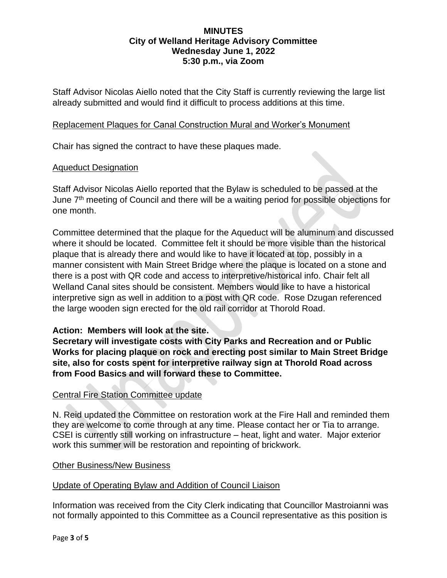Staff Advisor Nicolas Aiello noted that the City Staff is currently reviewing the large list already submitted and would find it difficult to process additions at this time.

### Replacement Plaques for Canal Construction Mural and Worker's Monument

Chair has signed the contract to have these plaques made.

### Aqueduct Designation

Staff Advisor Nicolas Aiello reported that the Bylaw is scheduled to be passed at the June  $7<sup>th</sup>$  meeting of Council and there will be a waiting period for possible objections for one month.

Committee determined that the plaque for the Aqueduct will be aluminum and discussed where it should be located. Committee felt it should be more visible than the historical plaque that is already there and would like to have it located at top, possibly in a manner consistent with Main Street Bridge where the plaque is located on a stone and there is a post with QR code and access to interpretive/historical info. Chair felt all Welland Canal sites should be consistent. Members would like to have a historical interpretive sign as well in addition to a post with QR code. Rose Dzugan referenced the large wooden sign erected for the old rail corridor at Thorold Road.

## **Action: Members will look at the site.**

**Secretary will investigate costs with City Parks and Recreation and or Public Works for placing plaque on rock and erecting post similar to Main Street Bridge site, also for costs spent for interpretive railway sign at Thorold Road across from Food Basics and will forward these to Committee.**

## Central Fire Station Committee update

N. Reid updated the Committee on restoration work at the Fire Hall and reminded them they are welcome to come through at any time. Please contact her or Tia to arrange. CSEI is currently still working on infrastructure – heat, light and water. Major exterior work this summer will be restoration and repointing of brickwork.

## Other Business/New Business

## Update of Operating Bylaw and Addition of Council Liaison

Information was received from the City Clerk indicating that Councillor Mastroianni was not formally appointed to this Committee as a Council representative as this position is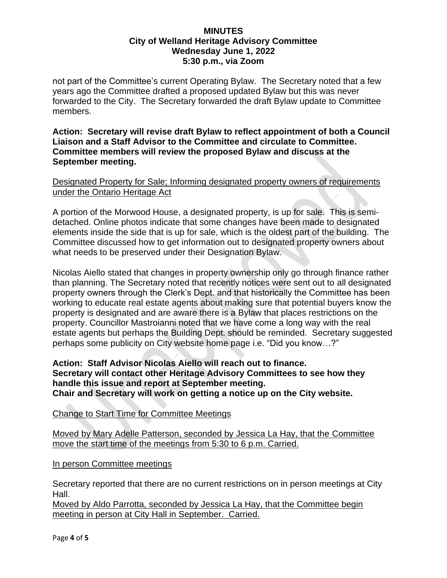not part of the Committee's current Operating Bylaw. The Secretary noted that a few years ago the Committee drafted a proposed updated Bylaw but this was never forwarded to the City. The Secretary forwarded the draft Bylaw update to Committee members.

**Action: Secretary will revise draft Bylaw to reflect appointment of both a Council Liaison and a Staff Advisor to the Committee and circulate to Committee. Committee members will review the proposed Bylaw and discuss at the September meeting.**

## Designated Property for Sale; Informing designated property owners of requirements under the Ontario Heritage Act

A portion of the Morwood House, a designated property, is up for sale. This is semidetached. Online photos indicate that some changes have been made to designated elements inside the side that is up for sale, which is the oldest part of the building. The Committee discussed how to get information out to designated property owners about what needs to be preserved under their Designation Bylaw.

Nicolas Aiello stated that changes in property ownership only go through finance rather than planning. The Secretary noted that recently notices were sent out to all designated property owners through the Clerk's Dept. and that historically the Committee has been working to educate real estate agents about making sure that potential buyers know the property is designated and are aware there is a Bylaw that places restrictions on the property. Councillor Mastroianni noted that we have come a long way with the real estate agents but perhaps the Building Dept. should be reminded. Secretary suggested perhaps some publicity on City website home page i.e. "Did you know…?"

### **Action: Staff Advisor Nicolas Aiello will reach out to finance. Secretary will contact other Heritage Advisory Committees to see how they handle this issue and report at September meeting. Chair and Secretary will work on getting a notice up on the City website.**

Change to Start Time for Committee Meetings

Moved by Mary Adelle Patterson, seconded by Jessica La Hay, that the Committee move the start time of the meetings from 5:30 to 6 p.m. Carried.

In person Committee meetings

Secretary reported that there are no current restrictions on in person meetings at City Hall.

Moved by Aldo Parrotta, seconded by Jessica La Hay, that the Committee begin meeting in person at City Hall in September. Carried.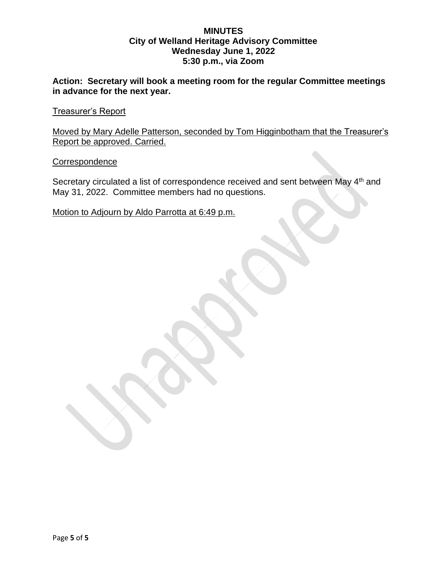**Action: Secretary will book a meeting room for the regular Committee meetings in advance for the next year.**

Treasurer's Report

Moved by Mary Adelle Patterson, seconded by Tom Higginbotham that the Treasurer's Report be approved. Carried.

**Correspondence** 

Secretary circulated a list of correspondence received and sent between May 4<sup>th</sup> and May 31, 2022. Committee members had no questions.

Motion to Adjourn by Aldo Parrotta at 6:49 p.m.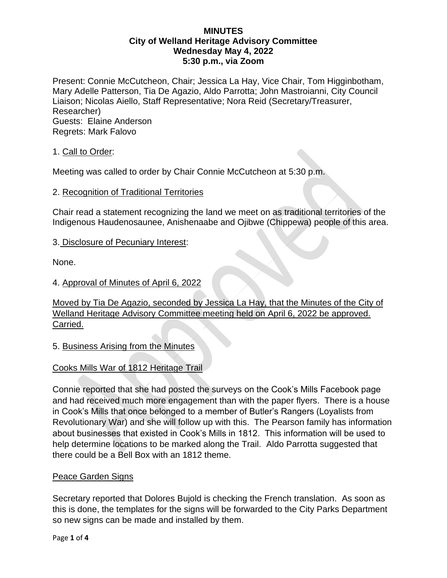Present: Connie McCutcheon, Chair; Jessica La Hay, Vice Chair, Tom Higginbotham, Mary Adelle Patterson, Tia De Agazio, Aldo Parrotta; John Mastroianni, City Council Liaison; Nicolas Aiello, Staff Representative; Nora Reid (Secretary/Treasurer, Researcher) Guests: Elaine Anderson Regrets: Mark Falovo

1. Call to Order:

Meeting was called to order by Chair Connie McCutcheon at 5:30 p.m.

## 2. Recognition of Traditional Territories

Chair read a statement recognizing the land we meet on as traditional territories of the Indigenous Haudenosaunee, Anishenaabe and Ojibwe (Chippewa) people of this area.

### 3. Disclosure of Pecuniary Interest:

None.

### 4. Approval of Minutes of April 6, 2022

Moved by Tia De Agazio, seconded by Jessica La Hay, that the Minutes of the City of Welland Heritage Advisory Committee meeting held on April 6, 2022 be approved. Carried.

## 5. Business Arising from the Minutes

## Cooks Mills War of 1812 Heritage Trail

Connie reported that she had posted the surveys on the Cook's Mills Facebook page and had received much more engagement than with the paper flyers. There is a house in Cook's Mills that once belonged to a member of Butler's Rangers (Loyalists from Revolutionary War) and she will follow up with this. The Pearson family has information about businesses that existed in Cook's Mills in 1812. This information will be used to help determine locations to be marked along the Trail. Aldo Parrotta suggested that there could be a Bell Box with an 1812 theme.

## Peace Garden Signs

Secretary reported that Dolores Bujold is checking the French translation. As soon as this is done, the templates for the signs will be forwarded to the City Parks Department so new signs can be made and installed by them.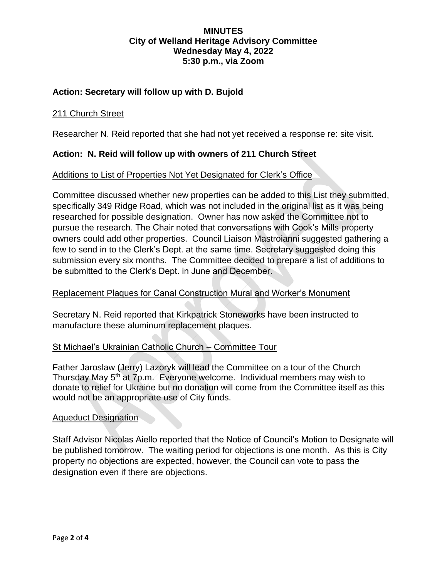## **Action: Secretary will follow up with D. Bujold**

#### 211 Church Street

Researcher N. Reid reported that she had not yet received a response re: site visit.

### **Action: N. Reid will follow up with owners of 211 Church Street**

#### Additions to List of Properties Not Yet Designated for Clerk's Office

Committee discussed whether new properties can be added to this List they submitted, specifically 349 Ridge Road, which was not included in the original list as it was being researched for possible designation. Owner has now asked the Committee not to pursue the research. The Chair noted that conversations with Cook's Mills property owners could add other properties. Council Liaison Mastroianni suggested gathering a few to send in to the Clerk's Dept. at the same time. Secretary suggested doing this submission every six months. The Committee decided to prepare a list of additions to be submitted to the Clerk's Dept. in June and December.

#### Replacement Plaques for Canal Construction Mural and Worker's Monument

Secretary N. Reid reported that Kirkpatrick Stoneworks have been instructed to manufacture these aluminum replacement plaques.

#### St Michael's Ukrainian Catholic Church – Committee Tour

Father Jaroslaw (Jerry) Lazoryk will lead the Committee on a tour of the Church Thursday May 5th at 7p.m. Everyone welcome. Individual members may wish to donate to relief for Ukraine but no donation will come from the Committee itself as this would not be an appropriate use of City funds.

#### Aqueduct Designation

Staff Advisor Nicolas Aiello reported that the Notice of Council's Motion to Designate will be published tomorrow. The waiting period for objections is one month. As this is City property no objections are expected, however, the Council can vote to pass the designation even if there are objections.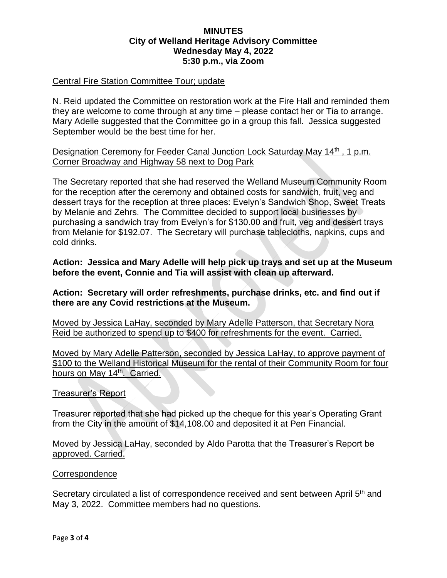### Central Fire Station Committee Tour; update

N. Reid updated the Committee on restoration work at the Fire Hall and reminded them they are welcome to come through at any time – please contact her or Tia to arrange. Mary Adelle suggested that the Committee go in a group this fall. Jessica suggested September would be the best time for her.

Designation Ceremony for Feeder Canal Junction Lock Saturday May 14<sup>th</sup>, 1 p.m. Corner Broadway and Highway 58 next to Dog Park

The Secretary reported that she had reserved the Welland Museum Community Room for the reception after the ceremony and obtained costs for sandwich, fruit, veg and dessert trays for the reception at three places: Evelyn's Sandwich Shop, Sweet Treats by Melanie and Zehrs. The Committee decided to support local businesses by purchasing a sandwich tray from Evelyn's for \$130.00 and fruit, veg and dessert trays from Melanie for \$192.07. The Secretary will purchase tablecloths, napkins, cups and cold drinks.

**Action: Jessica and Mary Adelle will help pick up trays and set up at the Museum before the event, Connie and Tia will assist with clean up afterward.**

**Action: Secretary will order refreshments, purchase drinks, etc. and find out if there are any Covid restrictions at the Museum.**

Moved by Jessica LaHay, seconded by Mary Adelle Patterson, that Secretary Nora Reid be authorized to spend up to \$400 for refreshments for the event. Carried.

Moved by Mary Adelle Patterson, seconded by Jessica LaHay, to approve payment of \$100 to the Welland Historical Museum for the rental of their Community Room for four hours on May 14<sup>th</sup>. Carried.

#### Treasurer's Report

Treasurer reported that she had picked up the cheque for this year's Operating Grant from the City in the amount of \$14,108.00 and deposited it at Pen Financial.

Moved by Jessica LaHay, seconded by Aldo Parotta that the Treasurer's Report be approved. Carried.

#### **Correspondence**

Secretary circulated a list of correspondence received and sent between April 5<sup>th</sup> and May 3, 2022. Committee members had no questions.